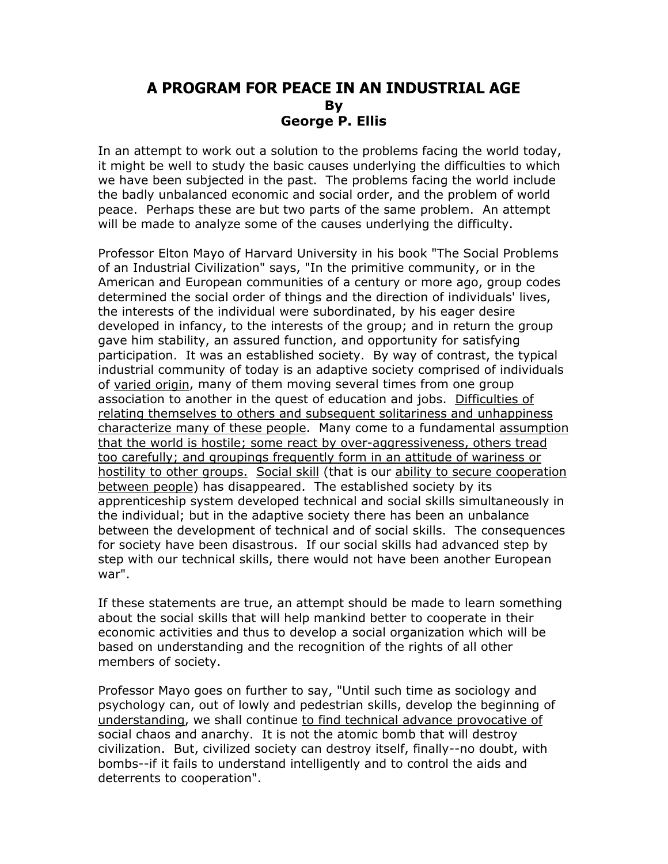## **A PROGRAM FOR PEACE IN AN INDUSTRIAL AGE By George P. Ellis**

In an attempt to work out a solution to the problems facing the world today, it might be well to study the basic causes underlying the difficulties to which we have been subjected in the past. The problems facing the world include the badly unbalanced economic and social order, and the problem of world peace. Perhaps these are but two parts of the same problem. An attempt will be made to analyze some of the causes underlying the difficulty.

Professor Elton Mayo of Harvard University in his book "The Social Problems of an Industrial Civilization" says, "In the primitive community, or in the American and European communities of a century or more ago, group codes determined the social order of things and the direction of individuals' lives, the interests of the individual were subordinated, by his eager desire developed in infancy, to the interests of the group; and in return the group gave him stability, an assured function, and opportunity for satisfying participation. It was an established society. By way of contrast, the typical industrial community of today is an adaptive society comprised of individuals of varied origin, many of them moving several times from one group association to another in the quest of education and jobs. Difficulties of relating themselves to others and subsequent solitariness and unhappiness characterize many of these people. Many come to a fundamental assumption that the world is hostile; some react by over-aggressiveness, others tread too carefully; and groupings frequently form in an attitude of wariness or hostility to other groups. Social skill (that is our ability to secure cooperation between people) has disappeared. The established society by its apprenticeship system developed technical and social skills simultaneously in the individual; but in the adaptive society there has been an unbalance between the development of technical and of social skills. The consequences for society have been disastrous. If our social skills had advanced step by step with our technical skills, there would not have been another European war".

If these statements are true, an attempt should be made to learn something about the social skills that will help mankind better to cooperate in their economic activities and thus to develop a social organization which will be based on understanding and the recognition of the rights of all other members of society.

Professor Mayo goes on further to say, "Until such time as sociology and psychology can, out of lowly and pedestrian skills, develop the beginning of understanding, we shall continue to find technical advance provocative of social chaos and anarchy. It is not the atomic bomb that will destroy civilization. But, civilized society can destroy itself, finally--no doubt, with bombs--if it fails to understand intelligently and to control the aids and deterrents to cooperation".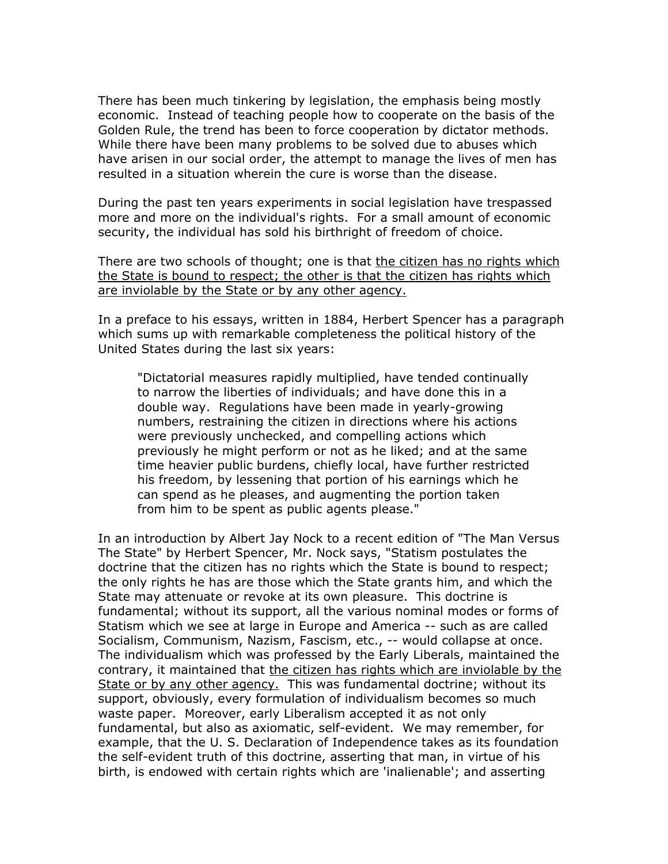There has been much tinkering by legislation, the emphasis being mostly economic. Instead of teaching people how to cooperate on the basis of the Golden Rule, the trend has been to force cooperation by dictator methods. While there have been many problems to be solved due to abuses which have arisen in our social order, the attempt to manage the lives of men has resulted in a situation wherein the cure is worse than the disease.

During the past ten years experiments in social legislation have trespassed more and more on the individual's rights. For a small amount of economic security, the individual has sold his birthright of freedom of choice.

There are two schools of thought; one is that the citizen has no rights which the State is bound to respect; the other is that the citizen has rights which are inviolable by the State or by any other agency.

In a preface to his essays, written in 1884, Herbert Spencer has a paragraph which sums up with remarkable completeness the political history of the United States during the last six years:

"Dictatorial measures rapidly multiplied, have tended continually to narrow the liberties of individuals; and have done this in a double way. Regulations have been made in yearly-growing numbers, restraining the citizen in directions where his actions were previously unchecked, and compelling actions which previously he might perform or not as he liked; and at the same time heavier public burdens, chiefly local, have further restricted his freedom, by lessening that portion of his earnings which he can spend as he pleases, and augmenting the portion taken from him to be spent as public agents please."

In an introduction by Albert Jay Nock to a recent edition of "The Man Versus The State" by Herbert Spencer, Mr. Nock says, "Statism postulates the doctrine that the citizen has no rights which the State is bound to respect; the only rights he has are those which the State grants him, and which the State may attenuate or revoke at its own pleasure. This doctrine is fundamental; without its support, all the various nominal modes or forms of Statism which we see at large in Europe and America -- such as are called Socialism, Communism, Nazism, Fascism, etc., -- would collapse at once. The individualism which was professed by the Early Liberals, maintained the contrary, it maintained that the citizen has rights which are inviolable by the State or by any other agency. This was fundamental doctrine; without its support, obviously, every formulation of individualism becomes so much waste paper. Moreover, early Liberalism accepted it as not only fundamental, but also as axiomatic, self-evident. We may remember, for example, that the U. S. Declaration of Independence takes as its foundation the self-evident truth of this doctrine, asserting that man, in virtue of his birth, is endowed with certain rights which are 'inalienable'; and asserting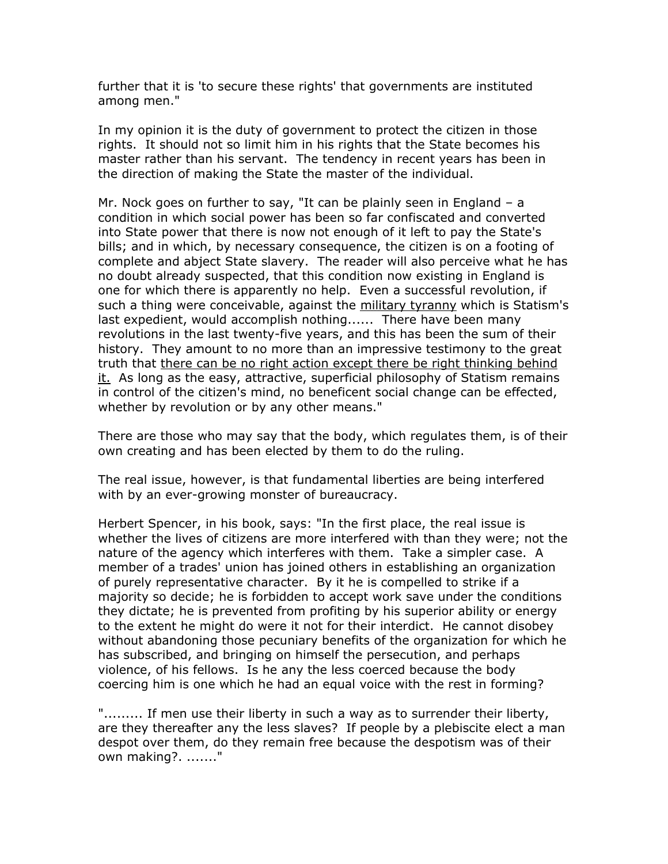further that it is 'to secure these rights' that governments are instituted among men."

In my opinion it is the duty of government to protect the citizen in those rights. It should not so limit him in his rights that the State becomes his master rather than his servant. The tendency in recent years has been in the direction of making the State the master of the individual.

Mr. Nock goes on further to say, "It can be plainly seen in England – a condition in which social power has been so far confiscated and converted into State power that there is now not enough of it left to pay the State's bills; and in which, by necessary consequence, the citizen is on a footing of complete and abject State slavery. The reader will also perceive what he has no doubt already suspected, that this condition now existing in England is one for which there is apparently no help. Even a successful revolution, if such a thing were conceivable, against the military tyranny which is Statism's last expedient, would accomplish nothing...... There have been many revolutions in the last twenty-five years, and this has been the sum of their history. They amount to no more than an impressive testimony to the great truth that there can be no right action except there be right thinking behind  $it.$  As long as the easy, attractive, superficial philosophy of Statism remains in control of the citizen's mind, no beneficent social change can be effected, whether by revolution or by any other means."

There are those who may say that the body, which regulates them, is of their own creating and has been elected by them to do the ruling.

The real issue, however, is that fundamental liberties are being interfered with by an ever-growing monster of bureaucracy.

Herbert Spencer, in his book, says: "In the first place, the real issue is whether the lives of citizens are more interfered with than they were; not the nature of the agency which interferes with them. Take a simpler case. A member of a trades' union has joined others in establishing an organization of purely representative character. By it he is compelled to strike if a majority so decide; he is forbidden to accept work save under the conditions they dictate; he is prevented from profiting by his superior ability or energy to the extent he might do were it not for their interdict. He cannot disobey without abandoning those pecuniary benefits of the organization for which he has subscribed, and bringing on himself the persecution, and perhaps violence, of his fellows. Is he any the less coerced because the body coercing him is one which he had an equal voice with the rest in forming?

".......... If men use their liberty in such a way as to surrender their liberty, are they thereafter any the less slaves? If people by a plebiscite elect a man despot over them, do they remain free because the despotism was of their own making?. ......."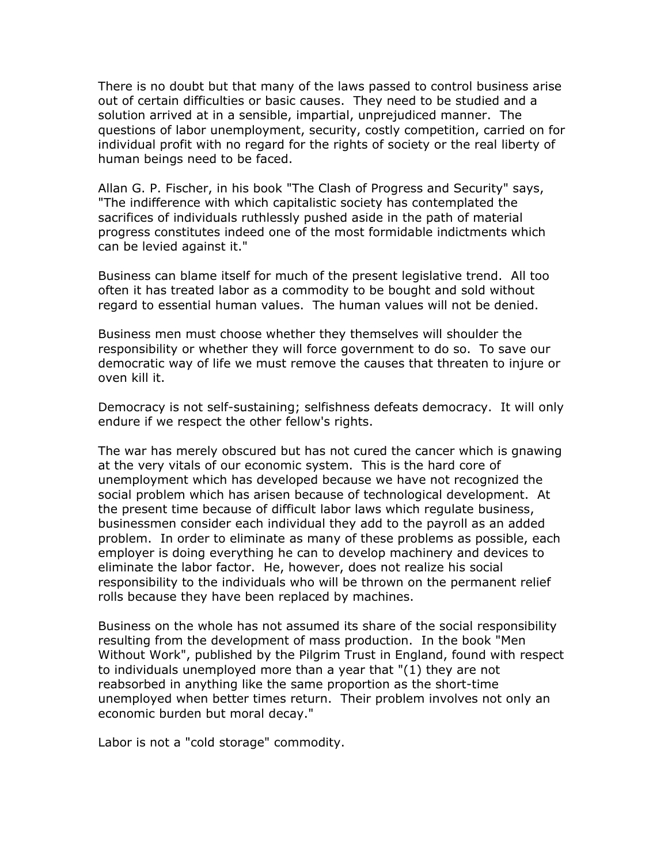There is no doubt but that many of the laws passed to control business arise out of certain difficulties or basic causes. They need to be studied and a solution arrived at in a sensible, impartial, unprejudiced manner. The questions of labor unemployment, security, costly competition, carried on for individual profit with no regard for the rights of society or the real liberty of human beings need to be faced.

Allan G. P. Fischer, in his book "The Clash of Progress and Security" says, "The indifference with which capitalistic society has contemplated the sacrifices of individuals ruthlessly pushed aside in the path of material progress constitutes indeed one of the most formidable indictments which can be levied against it."

Business can blame itself for much of the present legislative trend. All too often it has treated labor as a commodity to be bought and sold without regard to essential human values. The human values will not be denied.

Business men must choose whether they themselves will shoulder the responsibility or whether they will force government to do so. To save our democratic way of life we must remove the causes that threaten to injure or oven kill it.

Democracy is not self-sustaining; selfishness defeats democracy. It will only endure if we respect the other fellow's rights.

The war has merely obscured but has not cured the cancer which is gnawing at the very vitals of our economic system. This is the hard core of unemployment which has developed because we have not recognized the social problem which has arisen because of technological development. At the present time because of difficult labor laws which regulate business, businessmen consider each individual they add to the payroll as an added problem. In order to eliminate as many of these problems as possible, each employer is doing everything he can to develop machinery and devices to eliminate the labor factor. He, however, does not realize his social responsibility to the individuals who will be thrown on the permanent relief rolls because they have been replaced by machines.

Business on the whole has not assumed its share of the social responsibility resulting from the development of mass production. In the book "Men Without Work", published by the Pilgrim Trust in England, found with respect to individuals unemployed more than a year that "(1) they are not reabsorbed in anything like the same proportion as the short-time unemployed when better times return. Their problem involves not only an economic burden but moral decay."

Labor is not a "cold storage" commodity.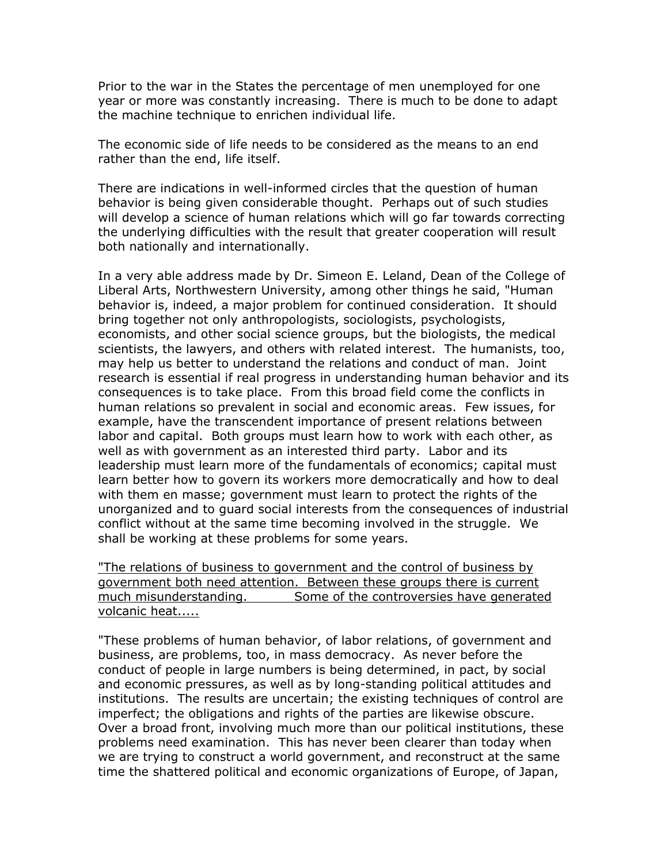Prior to the war in the States the percentage of men unemployed for one year or more was constantly increasing. There is much to be done to adapt the machine technique to enrichen individual life.

The economic side of life needs to be considered as the means to an end rather than the end, life itself.

There are indications in well-informed circles that the question of human behavior is being given considerable thought. Perhaps out of such studies will develop a science of human relations which will go far towards correcting the underlying difficulties with the result that greater cooperation will result both nationally and internationally.

In a very able address made by Dr. Simeon E. Leland, Dean of the College of Liberal Arts, Northwestern University, among other things he said, "Human behavior is, indeed, a major problem for continued consideration. It should bring together not only anthropologists, sociologists, psychologists, economists, and other social science groups, but the biologists, the medical scientists, the lawyers, and others with related interest. The humanists, too, may help us better to understand the relations and conduct of man. Joint research is essential if real progress in understanding human behavior and its consequences is to take place. From this broad field come the conflicts in human relations so prevalent in social and economic areas. Few issues, for example, have the transcendent importance of present relations between labor and capital. Both groups must learn how to work with each other, as well as with government as an interested third party. Labor and its leadership must learn more of the fundamentals of economics; capital must learn better how to govern its workers more democratically and how to deal with them en masse; government must learn to protect the rights of the unorganized and to guard social interests from the consequences of industrial conflict without at the same time becoming involved in the struggle. We shall be working at these problems for some years.

"The relations of business to government and the control of business by government both need attention. Between these groups there is current much misunderstanding. Some of the controversies have generated volcanic heat.....

"These problems of human behavior, of labor relations, of government and business, are problems, too, in mass democracy. As never before the conduct of people in large numbers is being determined, in pact, by social and economic pressures, as well as by long-standing political attitudes and institutions. The results are uncertain; the existing techniques of control are imperfect; the obligations and rights of the parties are likewise obscure. Over a broad front, involving much more than our political institutions, these problems need examination. This has never been clearer than today when we are trying to construct a world government, and reconstruct at the same time the shattered political and economic organizations of Europe, of Japan,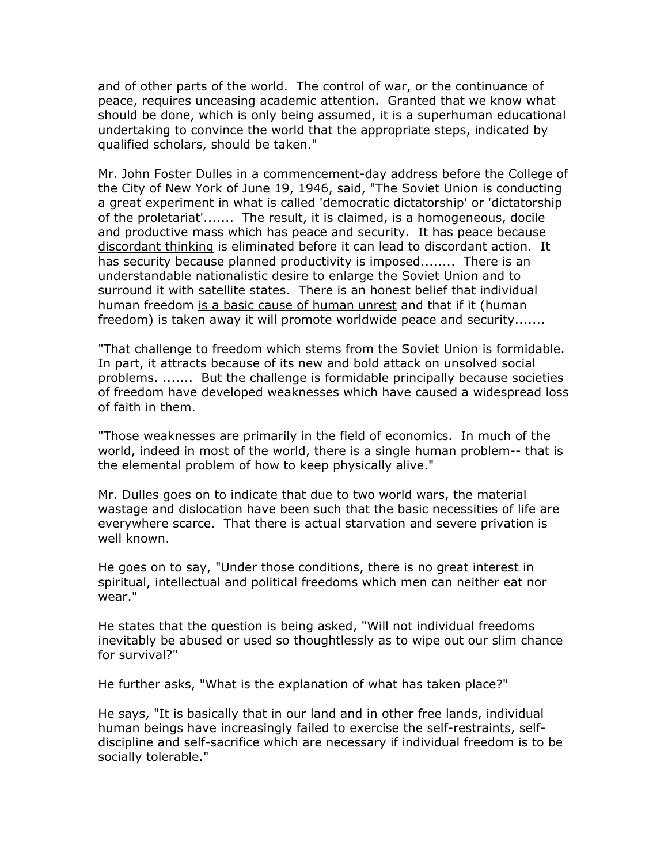and of other parts of the world. The control of war, or the continuance of peace, requires unceasing academic attention. Granted that we know what should be done, which is only being assumed, it is a superhuman educational undertaking to convince the world that the appropriate steps, indicated by qualified scholars, should be taken."

Mr. John Foster Dulles in a commencement-day address before the College of the City of New York of June 19, 1946, said, "The Soviet Union is conducting a great experiment in what is called 'democratic dictatorship' or 'dictatorship of the proletariat'....... The result, it is claimed, is a homogeneous, docile and productive mass which has peace and security. It has peace because discordant thinking is eliminated before it can lead to discordant action. It has security because planned productivity is imposed........ There is an understandable nationalistic desire to enlarge the Soviet Union and to surround it with satellite states. There is an honest belief that individual human freedom is a basic cause of human unrest and that if it (human freedom) is taken away it will promote worldwide peace and security.......

"That challenge to freedom which stems from the Soviet Union is formidable. In part, it attracts because of its new and bold attack on unsolved social problems. ....... But the challenge is formidable principally because societies of freedom have developed weaknesses which have caused a widespread loss of faith in them.

"Those weaknesses are primarily in the field of economics. In much of the world, indeed in most of the world, there is a single human problem-- that is the elemental problem of how to keep physically alive."

Mr. Dulles goes on to indicate that due to two world wars, the material wastage and dislocation have been such that the basic necessities of life are everywhere scarce. That there is actual starvation and severe privation is well known.

He goes on to say, "Under those conditions, there is no great interest in spiritual, intellectual and political freedoms which men can neither eat nor wear."

He states that the question is being asked, "Will not individual freedoms inevitably be abused or used so thoughtlessly as to wipe out our slim chance for survival?"

He further asks, "What is the explanation of what has taken place?"

He says, "It is basically that in our land and in other free lands, individual human beings have increasingly failed to exercise the self-restraints, selfdiscipline and self-sacrifice which are necessary if individual freedom is to be socially tolerable."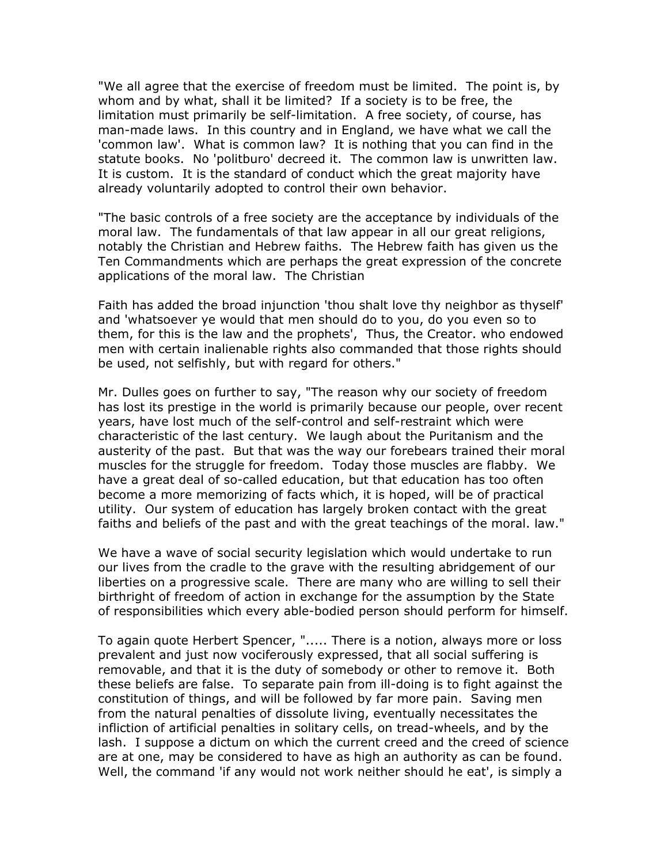"We all agree that the exercise of freedom must be limited. The point is, by whom and by what, shall it be limited? If a society is to be free, the limitation must primarily be self-limitation. A free society, of course, has man-made laws. In this country and in England, we have what we call the 'common law'. What is common law? It is nothing that you can find in the statute books. No 'politburo' decreed it. The common law is unwritten law. It is custom. It is the standard of conduct which the great majority have already voluntarily adopted to control their own behavior.

"The basic controls of a free society are the acceptance by individuals of the moral law. The fundamentals of that law appear in all our great religions, notably the Christian and Hebrew faiths. The Hebrew faith has given us the Ten Commandments which are perhaps the great expression of the concrete applications of the moral law. The Christian

Faith has added the broad injunction 'thou shalt love thy neighbor as thyself' and 'whatsoever ye would that men should do to you, do you even so to them, for this is the law and the prophets', Thus, the Creator. who endowed men with certain inalienable rights also commanded that those rights should be used, not selfishly, but with regard for others."

Mr. Dulles goes on further to say, "The reason why our society of freedom has lost its prestige in the world is primarily because our people, over recent years, have lost much of the self-control and self-restraint which were characteristic of the last century. We laugh about the Puritanism and the austerity of the past. But that was the way our forebears trained their moral muscles for the struggle for freedom. Today those muscles are flabby. We have a great deal of so-called education, but that education has too often become a more memorizing of facts which, it is hoped, will be of practical utility. Our system of education has largely broken contact with the great faiths and beliefs of the past and with the great teachings of the moral. law."

We have a wave of social security legislation which would undertake to run our lives from the cradle to the grave with the resulting abridgement of our liberties on a progressive scale. There are many who are willing to sell their birthright of freedom of action in exchange for the assumption by the State of responsibilities which every able-bodied person should perform for himself.

To again quote Herbert Spencer, "..... There is a notion, always more or loss prevalent and just now vociferously expressed, that all social suffering is removable, and that it is the duty of somebody or other to remove it. Both these beliefs are false. To separate pain from ill-doing is to fight against the constitution of things, and will be followed by far more pain. Saving men from the natural penalties of dissolute living, eventually necessitates the infliction of artificial penalties in solitary cells, on tread-wheels, and by the lash. I suppose a dictum on which the current creed and the creed of science are at one, may be considered to have as high an authority as can be found. Well, the command 'if any would not work neither should he eat', is simply a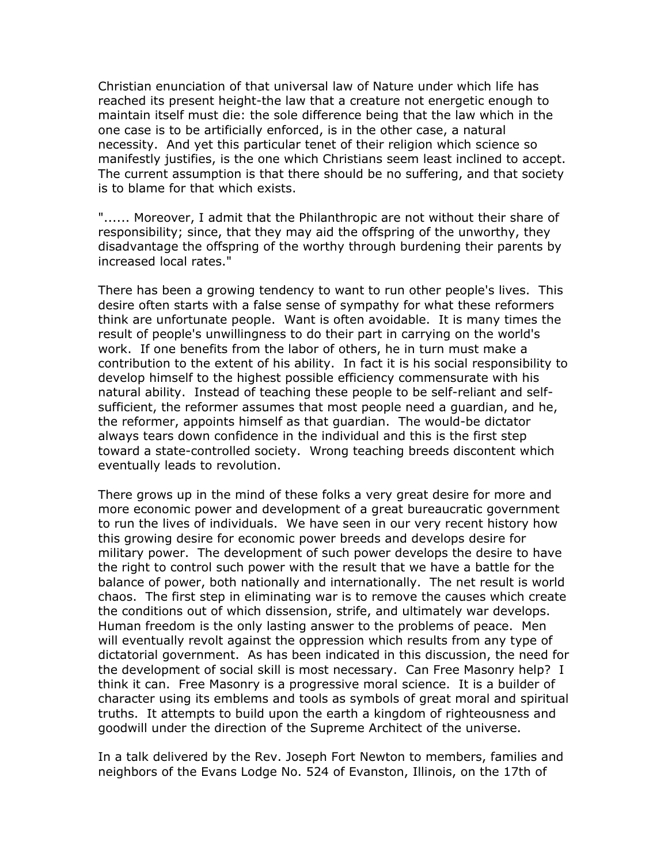Christian enunciation of that universal law of Nature under which life has reached its present height-the law that a creature not energetic enough to maintain itself must die: the sole difference being that the law which in the one case is to be artificially enforced, is in the other case, a natural necessity. And yet this particular tenet of their religion which science so manifestly justifies, is the one which Christians seem least inclined to accept. The current assumption is that there should be no suffering, and that society is to blame for that which exists.

"...... Moreover, I admit that the Philanthropic are not without their share of responsibility; since, that they may aid the offspring of the unworthy, they disadvantage the offspring of the worthy through burdening their parents by increased local rates."

There has been a growing tendency to want to run other people's lives. This desire often starts with a false sense of sympathy for what these reformers think are unfortunate people. Want is often avoidable. It is many times the result of people's unwillingness to do their part in carrying on the world's work. If one benefits from the labor of others, he in turn must make a contribution to the extent of his ability. In fact it is his social responsibility to develop himself to the highest possible efficiency commensurate with his natural ability. Instead of teaching these people to be self-reliant and selfsufficient, the reformer assumes that most people need a guardian, and he, the reformer, appoints himself as that guardian. The would-be dictator always tears down confidence in the individual and this is the first step toward a state-controlled society. Wrong teaching breeds discontent which eventually leads to revolution.

There grows up in the mind of these folks a very great desire for more and more economic power and development of a great bureaucratic government to run the lives of individuals. We have seen in our very recent history how this growing desire for economic power breeds and develops desire for military power. The development of such power develops the desire to have the right to control such power with the result that we have a battle for the balance of power, both nationally and internationally. The net result is world chaos. The first step in eliminating war is to remove the causes which create the conditions out of which dissension, strife, and ultimately war develops. Human freedom is the only lasting answer to the problems of peace. Men will eventually revolt against the oppression which results from any type of dictatorial government. As has been indicated in this discussion, the need for the development of social skill is most necessary. Can Free Masonry help? I think it can. Free Masonry is a progressive moral science. It is a builder of character using its emblems and tools as symbols of great moral and spiritual truths. It attempts to build upon the earth a kingdom of righteousness and goodwill under the direction of the Supreme Architect of the universe.

In a talk delivered by the Rev. Joseph Fort Newton to members, families and neighbors of the Evans Lodge No. 524 of Evanston, Illinois, on the 17th of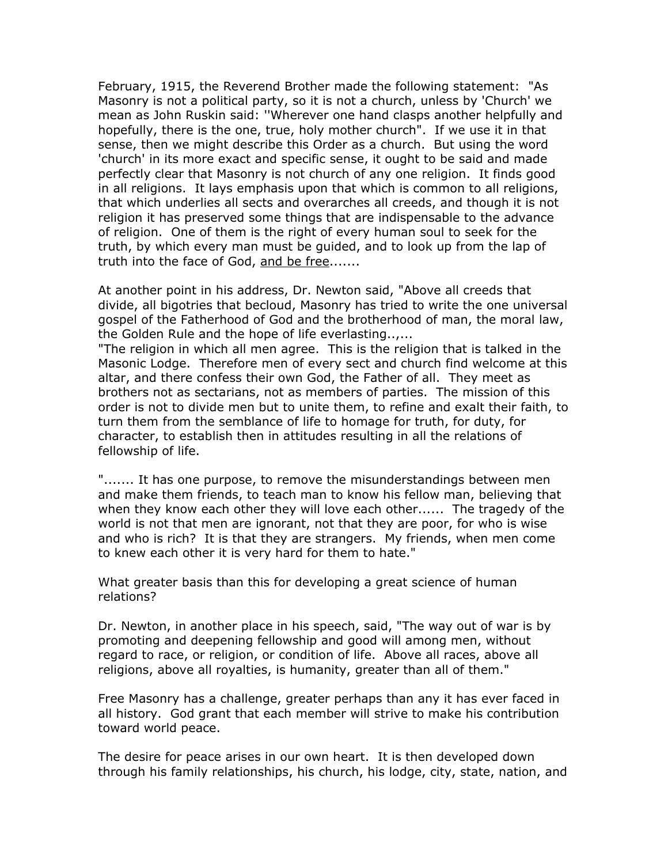February, 1915, the Reverend Brother made the following statement: "As Masonry is not a political party, so it is not a church, unless by 'Church' we mean as John Ruskin said: ''Wherever one hand clasps another helpfully and hopefully, there is the one, true, holy mother church". If we use it in that sense, then we might describe this Order as a church. But using the word 'church' in its more exact and specific sense, it ought to be said and made perfectly clear that Masonry is not church of any one religion. It finds good in all religions. It lays emphasis upon that which is common to all religions, that which underlies all sects and overarches all creeds, and though it is not religion it has preserved some things that are indispensable to the advance of religion. One of them is the right of every human soul to seek for the truth, by which every man must be guided, and to look up from the lap of truth into the face of God, and be free.......

At another point in his address, Dr. Newton said, "Above all creeds that divide, all bigotries that becloud, Masonry has tried to write the one universal gospel of the Fatherhood of God and the brotherhood of man, the moral law, the Golden Rule and the hope of life everlasting..,...

"The religion in which all men agree. This is the religion that is talked in the Masonic Lodge. Therefore men of every sect and church find welcome at this altar, and there confess their own God, the Father of all. They meet as brothers not as sectarians, not as members of parties. The mission of this order is not to divide men but to unite them, to refine and exalt their faith, to turn them from the semblance of life to homage for truth, for duty, for character, to establish then in attitudes resulting in all the relations of fellowship of life.

"....... It has one purpose, to remove the misunderstandings between men and make them friends, to teach man to know his fellow man, believing that when they know each other they will love each other...... The tragedy of the world is not that men are ignorant, not that they are poor, for who is wise and who is rich? It is that they are strangers. My friends, when men come to knew each other it is very hard for them to hate."

What greater basis than this for developing a great science of human relations?

Dr. Newton, in another place in his speech, said, "The way out of war is by promoting and deepening fellowship and good will among men, without regard to race, or religion, or condition of life. Above all races, above all religions, above all royalties, is humanity, greater than all of them."

Free Masonry has a challenge, greater perhaps than any it has ever faced in all history. God grant that each member will strive to make his contribution toward world peace.

The desire for peace arises in our own heart. It is then developed down through his family relationships, his church, his lodge, city, state, nation, and